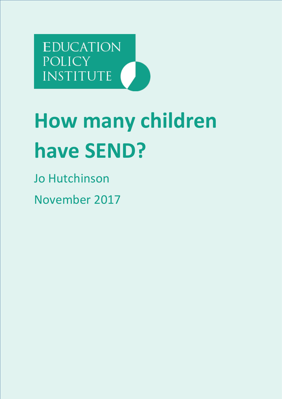**EDUCATION POLICY** INSTITUTE

# **How many children have SEND?**

Jo Hutchinson November 2017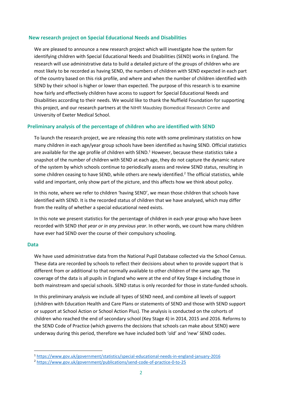## **New research project on Special Educational Needs and Disabilities**

We are pleased to announce a new research project which will investigate how the system for identifying children with Special Educational Needs and Disabilities (SEND) works in England. The research will use administrative data to build a detailed picture of the groups of children who are most likely to be recorded as having SEND, the numbers of children with SEND expected in each part of the country based on this risk profile, and where and when the number of children identified with SEND by their school is higher or lower than expected. The purpose of this research is to examine how fairly and effectively children have access to support for Special Educational Needs and Disabilities according to their needs. We would like to thank the Nuffield Foundation for supporting this project, and our research partners at the NIHR Maudsley Biomedical Research Centre and University of Exeter Medical School.

## **Preliminary analysis of the percentage of children who are identified with SEND**

To launch the research project, we are releasing this note with some preliminary statistics on how many children in each age/year group schools have been identified as having SEND. Official statistics are available for the age profile of children with SEND.<sup>1</sup> However, because these statistics take a snapshot of the number of children with SEND at each age, they do not capture the dynamic nature of the system by which schools continue to periodically assess and review SEND status, resulting in some children ceasing to have SEND, while others are newly identified.<sup>2</sup> The official statistics, while valid and important, only show part of the picture, and this affects how we think about policy.

In this note, where we refer to children 'having SEND', we mean those children that schools have identified with SEND. It is the recorded status of children that we have analysed, which may differ from the reality of whether a special educational need exists.

In this note we present statistics for the percentage of children in each year group who have been recorded with SEND *that year or in any previous year*. In other words, we count how many children have ever had SEND over the course of their compulsory schooling.

#### **Data**

1

We have used administrative data from the National Pupil Database collected via the School Census. These data are recorded by schools to reflect their decisions about when to provide support that is different from or additional to that normally available to other children of the same age. The coverage of the data is all pupils in England who were at the end of Key Stage 4 including those in both mainstream and special schools. SEND status is only recorded for those in state-funded schools.

In this preliminary analysis we include all types of SEND need, and combine all levels of support (children with Education Health and Care Plans or statements of SEND and those with SEND support or support at School Action or School Action Plus). The analysis is conducted on the cohorts of children who reached the end of secondary school (Key Stage 4) in 2014, 2015 and 2016. Reforms to the SEND Code of Practice (which governs the decisions that schools can make about SEND) were underway during this period, therefore we have included both 'old' and 'new' SEND codes.

<sup>1</sup> <https://www.gov.uk/government/statistics/special-educational-needs-in-england-january-2016>

<sup>2</sup> <https://www.gov.uk/government/publications/send-code-of-practice-0-to-25>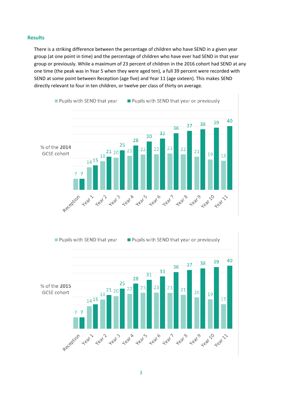### **Results**

There is a striking difference between the percentage of children who have SEND in a given year group (at one point in time) and the percentage of children who have ever had SEND in that year group or previously. While a maximum of 23 percent of children in the 2016 cohort had SEND at any one time (the peak was in Year 5 when they were aged ten), a full 39 percent were recorded with SEND at some point between Reception (age five) and Year 11 (age sixteen). This makes SEND directly relevant to four in ten children, or twelve per class of thirty on average.



Pupils with SEND that year or previously